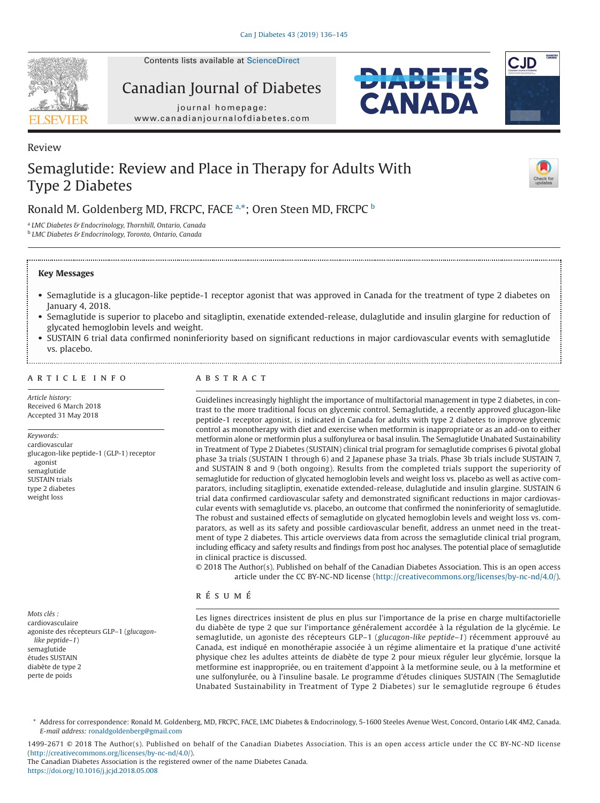

Review

Contents lists available at [ScienceDirect](http://www.sciencedirect.com/science/journal/14992671)

Canadian Journal of Diabetes

journal homepage: www.canadianjournalofdiabetes.com





# Semaglutide: Review and Place in Therapy for Adults With Type 2 Diabetes

Ronald M. Goldenberg MD, FRCPC, FACE [a,](#page-0-0)[\\*;](#page-0-1) Oren Steen MD, FRCPC [b](#page-0-2)

<span id="page-0-2"></span><span id="page-0-0"></span><sup>a</sup> *LMC Diabetes & Endocrinology, Thornhill, Ontario, Canada* <sup>b</sup> *LMC Diabetes & Endocrinology, Toronto, Ontario, Canada*

## **Key Messages**

- Semaglutide is a glucagon-like peptide-1 receptor agonist that was approved in Canada for the treatment of type 2 diabetes on January 4, 2018.
- Semaglutide is superior to placebo and sitagliptin, exenatide extended-release, dulaglutide and insulin glargine for reduction of glycated hemoglobin levels and weight.
- SUSTAIN 6 trial data confirmed noninferiority based on significant reductions in major cardiovascular events with semaglutide vs. placebo.

#### article info

*Article history:* Received 6 March 2018 Accepted 31 May 2018

*Keywords:* cardiovascular glucagon-like peptide-1 (GLP-1) receptor agonist semaglutide SUSTAIN trials type 2 diabetes weight loss

*Mots clés :* cardiovasculaire agoniste des récepteurs GLP–1 (*glucagonlike peptide–1*) semaglutide études SUSTAIN diabète de type 2 perte de poids

# **ABSTRACT**

Guidelines increasingly highlight the importance of multifactorial management in type 2 diabetes, in contrast to the more traditional focus on glycemic control. Semaglutide, a recently approved glucagon-like peptide-1 receptor agonist, is indicated in Canada for adults with type 2 diabetes to improve glycemic control as monotherapy with diet and exercise when metformin is inappropriate or as an add-on to either metformin alone or metformin plus a sulfonylurea or basal insulin. The Semaglutide Unabated Sustainability in Treatment of Type 2 Diabetes (SUSTAIN) clinical trial program for semaglutide comprises 6 pivotal global phase 3a trials (SUSTAIN 1 through 6) and 2 Japanese phase 3a trials. Phase 3b trials include SUSTAIN 7, and SUSTAIN 8 and 9 (both ongoing). Results from the completed trials support the superiority of semaglutide for reduction of glycated hemoglobin levels and weight loss vs. placebo as well as active comparators, including sitagliptin, exenatide extended-release, dulaglutide and insulin glargine. SUSTAIN 6 trial data confirmed cardiovascular safety and demonstrated significant reductions in major cardiovascular events with semaglutide vs. placebo, an outcome that confirmed the noninferiority of semaglutide. The robust and sustained effects of semaglutide on glycated hemoglobin levels and weight loss vs. comparators, as well as its safety and possible cardiovascular benefit, address an unmet need in the treatment of type 2 diabetes. This article overviews data from across the semaglutide clinical trial program, including efficacy and safety results and findings from post hoc analyses. The potential place of semaglutide in clinical practice is discussed.

© 2018 The Author(s). Published on behalf of the Canadian Diabetes Association. This is an open access article under the CC BY-NC-ND license (http://creativecommons.org/licenses/by-nc-nd/4.0/).

# résumé

Les lignes directrices insistent de plus en plus sur l'importance de la prise en charge multifactorielle du diabète de type 2 que sur l'importance généralement accordée à la régulation de la glycémie. Le semaglutide, un agoniste des récepteurs GLP–1 (*glucagon-like peptide–1*) récemment approuvé au Canada, est indiqué en monothérapie associée à un régime alimentaire et la pratique d'une activité physique chez les adultes atteints de diabète de type 2 pour mieux réguler leur glycémie, lorsque la metformine est inappropriée, ou en traitement d'appoint à la metformine seule, ou à la metformine et une sulfonylurée, ou à l'insuline basale. Le programme d'études cliniques SUSTAIN (The Semaglutide Unabated Sustainability in Treatment of Type 2 Diabetes) sur le semaglutide regroupe 6 études

<span id="page-0-1"></span>\* Address for correspondence: Ronald M. Goldenberg, MD, FRCPC, FACE, LMC Diabetes & Endocrinology, 5-1600 Steeles Avenue West, Concord, Ontario L4K 4M2, Canada. *E-mail address:* [ronaldgoldenberg@gmail.com](mailto:ronaldgoldenberg@gmail.com)

1499-2671 © 2018 The Author(s). Published on behalf of the Canadian Diabetes Association. This is an open access article under the CC BY-NC-ND license (http://creativecommons.org/licenses/by-nc-nd/4.0/).

The Canadian Diabetes Association is the registered owner of the name Diabetes Canada. https://doi.org/10.1016/j.jcjd.2018.05.008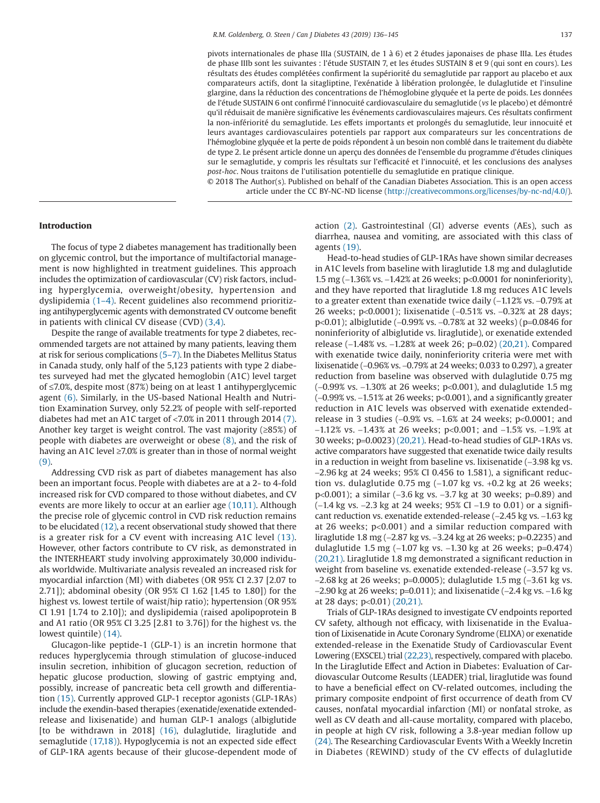pivots internationales de phase IIIa (SUSTAIN, de 1 à 6) et 2 études japonaises de phase IIIa. Les études de phase IIIb sont les suivantes : l'étude SUSTAIN 7, et les études SUSTAIN 8 et 9 (qui sont en cours). Les résultats des études complétées confirment la supériorité du semaglutide par rapport au placebo et aux comparateurs actifs, dont la sitagliptine, l'exénatide à libération prolongée, le dulaglutide et l'insuline glargine, dans la réduction des concentrations de l'hémoglobine glyquée et la perte de poids. Les données de l'étude SUSTAIN 6 ont confirmé l'innocuité cardiovasculaire du semaglutide (*vs* le placebo) et démontré qu'il réduisait de manière significative les événements cardiovasculaires majeurs. Ces résultats confirment la non-infériorité du semaglutide. Les effets importants et prolongés du semaglutide, leur innocuité et leurs avantages cardiovasculaires potentiels par rapport aux comparateurs sur les concentrations de l'hémoglobine glyquée et la perte de poids répondent à un besoin non comblé dans le traitement du diabète de type 2. Le présent article donne un aperçu des données de l'ensemble du programme d'études cliniques sur le semaglutide, y compris les résultats sur l'efficacité et l'innocuité, et les conclusions des analyses *post-hoc*. Nous traitons de l'utilisation potentielle du semaglutide en pratique clinique.

© 2018 The Author(s). Published on behalf of the Canadian Diabetes Association. This is an open access article under the CC BY-NC-ND license (http://creativecommons.org/licenses/by-nc-nd/4.0/).

# **Introduction**

The focus of type 2 diabetes management has traditionally been on glycemic control, but the importance of multifactorial management is now highlighted in treatment guidelines. This approach includes the optimization of cardiovascular (CV) risk factors, including hyperglycemia, overweight/obesity, hypertension and dyslipidemia [\(1–4\).](#page-8-0) Recent guidelines also recommend prioritizing antihyperglycemic agents with demonstrated CV outcome benefit in patients with clinical CV disease (CVD) [\(3,4\).](#page-8-1)

Despite the range of available treatments for type 2 diabetes, recommended targets are not attained by many patients, leaving them at risk for serious complications [\(5–7\).](#page-8-2) In the Diabetes Mellitus Status in Canada study, only half of the 5,123 patients with type 2 diabetes surveyed had met the glycated hemoglobin (A1C) level target of ≤7.0%, despite most (87%) being on at least 1 antihyperglycemic agent [\(6\).](#page-8-3) Similarly, in the US-based National Health and Nutrition Examination Survey, only 52.2% of people with self-reported diabetes had met an A1C target of <7.0% in 2011 through 2014 [\(7\).](#page-8-4) Another key target is weight control. The vast majority (≥85%) of people with diabetes are overweight or obese [\(8\),](#page-8-5) and the risk of having an A1C level ≥7.0% is greater than in those of normal weight [\(9\).](#page-8-6)

Addressing CVD risk as part of diabetes management has also been an important focus. People with diabetes are at a 2- to 4-fold increased risk for CVD compared to those without diabetes, and CV events are more likely to occur at an earlier age [\(10,11\).](#page-8-7) Although the precise role of glycemic control in CVD risk reduction remains to be elucidated [\(12\),](#page-8-8) a recent observational study showed that there is a greater risk for a CV event with increasing A1C level [\(13\).](#page-8-9) However, other factors contribute to CV risk, as demonstrated in the INTERHEART study involving approximately 30,000 individuals worldwide. Multivariate analysis revealed an increased risk for myocardial infarction (MI) with diabetes (OR 95% CI 2.37 [2.07 to 2.71]); abdominal obesity (OR 95% CI 1.62 [1.45 to 1.80]) for the highest vs. lowest tertile of waist/hip ratio); hypertension (OR 95% CI 1.91 [1.74 to 2.10]); and dyslipidemia (raised apolipoprotein B and A1 ratio (OR 95% CI 3.25 [2.81 to 3.76]) for the highest vs. the lowest quintile) [\(14\).](#page-8-10)

Glucagon-like peptide-1 (GLP-1) is an incretin hormone that reduces hyperglycemia through stimulation of glucose-induced insulin secretion, inhibition of glucagon secretion, reduction of hepatic glucose production, slowing of gastric emptying and, possibly, increase of pancreatic beta cell growth and differentiation [\(15\).](#page-8-11) Currently approved GLP-1 receptor agonists (GLP-1RAs) include the exendin-based therapies (exenatide/exenatide extendedrelease and lixisenatide) and human GLP-1 analogs (albiglutide [to be withdrawn in 2018] [\(16\),](#page-8-12) dulaglutide, liraglutide and semaglutide [\(17,18\)\)](#page-8-13). Hypoglycemia is not an expected side effect of GLP-1RA agents because of their glucose-dependent mode of action [\(2\).](#page-8-14) Gastrointestinal (GI) adverse events (AEs), such as diarrhea, nausea and vomiting, are associated with this class of agents [\(19\).](#page-8-15)

Head-to-head studies of GLP-1RAs have shown similar decreases in A1C levels from baseline with liraglutide 1.8 mg and dulaglutide 1.5 mg (−1.36% vs. −1.42% at 26 weeks; p<0.0001 for noninferiority), and they have reported that liraglutide 1.8 mg reduces A1C levels to a greater extent than exenatide twice daily (−1.12% vs. –0.79% at 26 weeks; p<0.0001); lixisenatide (−0.51% vs. −0.32% at 28 days; p<0.01); albiglutide (−0.99% vs. −0.78% at 32 weeks) (p=0.0846 for noninferiority of albiglutide vs. liraglutide), or exenatide extended release (−1.48% vs. −1.28% at week 26; p=0.02) [\(20,21\).](#page-8-16) Compared with exenatide twice daily, noninferiority criteria were met with lixisenatide (−0.96% vs. −0.79% at 24 weeks; 0.033 to 0.297), a greater reduction from baseline was observed with dulaglutide 0.75 mg (−0.99% vs. −1.30% at 26 weeks; p<0.001), and dulaglutide 1.5 mg (−0.99% vs. −1.51% at 26 weeks; p<0.001), and a significantly greater reduction in A1C levels was observed with exenatide extendedrelease in 3 studies (−0.9% vs. −1.6% at 24 weeks; p<0.0001; and −1.12% vs. −1.43% at 26 weeks; p<0.001; and −1.5% vs. −1.9% at 30 weeks; p=0.0023) [\(20,21\).](#page-8-16) Head-to-head studies of GLP-1RAs vs. active comparators have suggested that exenatide twice daily results in a reduction in weight from baseline vs. lixisenatide (−3.98 kg vs. −2.96 kg at 24 weeks; 95% CI 0.456 to 1.581), a significant reduction vs. dulaglutide 0.75 mg (-1.07 kg vs. +0.2 kg at 26 weeks; p<0.001); a similar (-3.6 kg vs. -3.7 kg at 30 weeks; p=0.89) and (−1.4 kg vs. −2.3 kg at 24 weeks; 95% CI −1.9 to 0.01) or a significant reduction vs. exenatide extended-release (−2.45 kg vs. −1.63 kg at 26 weeks; p<0.001) and a similar reduction compared with liraglutide 1.8 mg (−2.87 kg vs. −3.24 kg at 26 weeks; p=0.2235) and dulaglutide 1.5 mg (−1.07 kg vs. −1.30 kg at 26 weeks; p=0.474) [\(20,21\).](#page-8-16) Liraglutide 1.8 mg demonstrated a significant reduction in weight from baseline vs. exenatide extended-release (−3.57 kg vs. −2.68 kg at 26 weeks; p=0.0005); dulaglutide 1.5 mg (−3.61 kg vs. −2.90 kg at 26 weeks; p=0.011); and lixisenatide (−2.4 kg vs. −1.6 kg at 28 days; p<0.01) [\(20,21\).](#page-8-16)

Trials of GLP-1RAs designed to investigate CV endpoints reported CV safety, although not efficacy, with lixisenatide in the Evaluation of Lixisenatide in Acute Coronary Syndrome (ELIXA) or exenatide extended-release in the Exenatide Study of Cardiovascular Event Lowering (EXSCEL) trial [\(22,23\),](#page-8-17) respectively, compared with placebo. In the Liraglutide Effect and Action in Diabetes: Evaluation of Cardiovascular Outcome Results (LEADER) trial, liraglutide was found to have a beneficial effect on CV-related outcomes, including the primary composite endpoint of first occurrence of death from CV causes, nonfatal myocardial infarction (MI) or nonfatal stroke, as well as CV death and all-cause mortality, compared with placebo, in people at high CV risk, following a 3.8-year median follow up [\(24\).](#page-8-18) The Researching Cardiovascular Events With a Weekly Incretin in Diabetes (REWIND) study of the CV effects of dulaglutide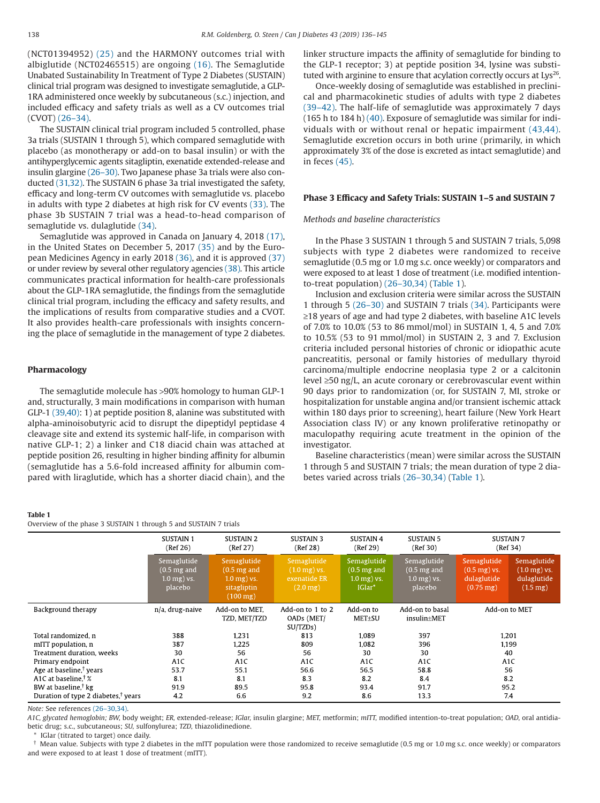(NCT01394952) [\(25\)](#page-8-19) and the HARMONY outcomes trial with albiglutide (NCT02465515) are ongoing [\(16\).](#page-8-12) The Semaglutide Unabated Sustainability In Treatment of Type 2 Diabetes (SUSTAIN) clinical trial program was designed to investigate semaglutide, a GLP-1RA administered once weekly by subcutaneous (s.c.) injection, and included efficacy and safety trials as well as a CV outcomes trial (CVOT) [\(26–34\).](#page-8-20)

The SUSTAIN clinical trial program included 5 controlled, phase 3a trials (SUSTAIN 1 through 5), which compared semaglutide with placebo (as monotherapy or add-on to basal insulin) or with the antihyperglycemic agents sitagliptin, exenatide extended-release and insulin glargine [\(26–30\).](#page-8-20) Two Japanese phase 3a trials were also conducted [\(31,32\).](#page-9-0) The SUSTAIN 6 phase 3a trial investigated the safety, efficacy and long-term CV outcomes with semaglutide vs. placebo in adults with type 2 diabetes at high risk for CV events [\(33\).](#page-9-1) The phase 3b SUSTAIN 7 trial was a head-to-head comparison of semaglutide vs. dulaglutide [\(34\).](#page-9-2)

Semaglutide was approved in Canada on January 4, 2018 [\(17\),](#page-8-13) in the United States on December 5, 2017 [\(35\)](#page-9-3) and by the European Medicines Agency in early 2018 [\(36\),](#page-9-4) and it is approved [\(37\)](#page-9-5) or under review by several other regulatory agencies [\(38\).](#page-9-6) This article communicates practical information for health-care professionals about the GLP-1RA semaglutide, the findings from the semaglutide clinical trial program, including the efficacy and safety results, and the implications of results from comparative studies and a CVOT. It also provides health-care professionals with insights concerning the place of semaglutide in the management of type 2 diabetes.

# **Pharmacology**

The semaglutide molecule has >90% homology to human GLP-1 and, structurally, 3 main modifications in comparison with human GLP-1 [\(39,40\):](#page-9-7) 1) at peptide position 8, alanine was substituted with alpha-aminoisobutyric acid to disrupt the dipeptidyl peptidase 4 cleavage site and extend its systemic half-life, in comparison with native GLP-1; 2) a linker and C18 diacid chain was attached at peptide position 26, resulting in higher binding affinity for albumin (semaglutide has a 5.6-fold increased affinity for albumin compared with liraglutide, which has a shorter diacid chain), and the linker structure impacts the affinity of semaglutide for binding to the GLP-1 receptor; 3) at peptide position 34, lysine was substituted with arginine to ensure that acylation correctly occurs at Lys<sup>26</sup>.

Once-weekly dosing of semaglutide was established in preclinical and pharmacokinetic studies of adults with type 2 diabetes [\(39–42\).](#page-9-7) The half-life of semaglutide was approximately 7 days (165 h to 184 h) [\(40\).](#page-9-8) Exposure of semaglutide was similar for individuals with or without renal or hepatic impairment [\(43,44\).](#page-9-9) Semaglutide excretion occurs in both urine (primarily, in which approximately 3% of the dose is excreted as intact semaglutide) and in feces [\(45\).](#page-9-10)

#### **Phase 3 Efficacy and Safety Trials: SUSTAIN 1–5 and SUSTAIN 7**

#### *Methods and baseline characteristics*

In the Phase 3 SUSTAIN 1 through 5 and SUSTAIN 7 trials, 5,098 subjects with type 2 diabetes were randomized to receive semaglutide (0.5 mg or 1.0 mg s.c. once weekly) or comparators and were exposed to at least 1 dose of treatment (i.e. modified intentionto-treat population) [\(26–30,34\)](#page-8-20) (Table 1).

Inclusion and exclusion criteria were similar across the SUSTAIN 1 through 5 [\(26–30\)](#page-8-20) and SUSTAIN 7 trials [\(34\).](#page-9-2) Participants were ≥18 years of age and had type 2 diabetes, with baseline A1C levels of 7.0% to 10.0% (53 to 86 mmol/mol) in SUSTAIN 1, 4, 5 and 7.0% to 10.5% (53 to 91 mmol/mol) in SUSTAIN 2, 3 and 7. Exclusion criteria included personal histories of chronic or idiopathic acute pancreatitis, personal or family histories of medullary thyroid carcinoma/multiple endocrine neoplasia type 2 or a calcitonin level ≥50 ng/L, an acute coronary or cerebrovascular event within 90 days prior to randomization (or, for SUSTAIN 7, MI, stroke or hospitalization for unstable angina and/or transient ischemic attack within 180 days prior to screening), heart failure (New York Heart Association class IV) or any known proliferative retinopathy or maculopathy requiring acute treatment in the opinion of the investigator.

Baseline characteristics (mean) were similar across the SUSTAIN 1 through 5 and SUSTAIN 7 trials; the mean duration of type 2 diabetes varied across trials [\(26–30,34\)](#page-8-20) (Table 1).

#### **Table 1**

Overview of the phase 3 SUSTAIN 1 through 5 and SUSTAIN 7 trials

|                                                 | <b>SUSTAIN 1</b><br>(Ref 26)                                     | <b>SUSTAIN 2</b><br>(Ref 27)                                                                  | <b>SUSTAIN 3</b><br>(Ref 28)                                                      | <b>SUSTAIN 4</b><br>(Ref 29)                                      | <b>SUSTAIN 5</b><br>(Ref 30)                                     | <b>SUSTAIN 7</b><br>(Ref 34)                                                |                                                                               |
|-------------------------------------------------|------------------------------------------------------------------|-----------------------------------------------------------------------------------------------|-----------------------------------------------------------------------------------|-------------------------------------------------------------------|------------------------------------------------------------------|-----------------------------------------------------------------------------|-------------------------------------------------------------------------------|
|                                                 | Semaglutide<br>$(0.5 \text{ mg}$ and<br>$1.0$ mg) vs.<br>placebo | Semaglutide<br>$(0.5 \text{ mg}$ and<br>$1.0$ mg) vs.<br>sitagliptin<br>$(100 \,\mathrm{mg})$ | Semaglutide<br>$(1.0 \,\mathrm{mg})$ vs.<br>exenatide ER<br>$(2.0 \,\mathrm{mg})$ | Semaglutide<br>$(0.5 \text{ mg}$ and<br>$1.0$ mg) vs.<br>$IGlar*$ | Semaglutide<br>$(0.5 \text{ mg}$ and<br>$1.0$ mg) vs.<br>placebo | Semaglutide<br>$(0.5 \text{ mg})$ vs.<br>dulaglutide<br>$(0.75 \text{ mg})$ | Semaglutide<br>$(1.0 \text{ mg})$ vs.<br>dulaglutide<br>$(1.5 \,\mathrm{mg})$ |
| Background therapy                              | n/a, drug-naive                                                  | Add-on to MET.<br>TZD, MET/TZD                                                                | Add-on to 1 to 2<br>OADs (MET/<br>SU/TZDs)                                        | Add-on to<br><b>MET±SU</b>                                        | Add-on to basal<br>insulin±MET                                   | Add-on to MET                                                               |                                                                               |
| Total randomized, n                             | 388                                                              | 1,231                                                                                         | 813                                                                               | 1,089                                                             | 397                                                              | 1,201                                                                       |                                                                               |
| mITT population, n                              | 387                                                              | 1,225                                                                                         | 809                                                                               | 1,082                                                             | 396                                                              | 1.199                                                                       |                                                                               |
| Treatment duration, weeks                       | 30                                                               | 56                                                                                            | 56                                                                                | 30                                                                | 30                                                               | 40                                                                          |                                                                               |
| Primary endpoint                                | A <sub>1</sub> C                                                 | A <sub>1</sub> C                                                                              | A <sub>1</sub> C                                                                  | A <sub>1</sub> C                                                  | A <sub>1</sub> C                                                 | A <sub>1</sub> C                                                            |                                                                               |
| Age at baseline, <sup>†</sup> years             | 53.7                                                             | 55.1                                                                                          | 56.6                                                                              | 56.5                                                              | 58.8                                                             | 56                                                                          |                                                                               |
| A1C at baseline. <sup>† <math>\%</math></sup>   | 8.1                                                              | 8.1                                                                                           | 8.3                                                                               | 8.2                                                               | 8.4                                                              | 8.2                                                                         |                                                                               |
| BW at baseline, <sup>†</sup> kg                 | 91.9                                                             | 89.5                                                                                          | 95.8                                                                              | 93.4                                                              | 91.7                                                             | 95.2                                                                        |                                                                               |
| Duration of type 2 diabetes, <sup>†</sup> years | 4.2                                                              | 6.6                                                                                           | 9.2                                                                               | 8.6                                                               | 13.3                                                             | 7.4                                                                         |                                                                               |

*Note:* See references [\(26–30,34\).](#page-8-20)

*A1C, glycated hemoglobin; BW,* body weight; *ER,* extended-release; *IGlar,* insulin glargine; *MET,* metformin; *mITT,* modified intention-to-treat population; *OAD,* oral antidiabetic drug; s.c., subcutaneous; *SU,* sulfonylurea; *TZD,* thiazolidinedione.

IGlar (titrated to target) once daily.

† Mean value. Subjects with type 2 diabetes in the mITT population were those randomized to receive semaglutide (0.5 mg or 1.0 mg s.c. once weekly) or comparators and were exposed to at least 1 dose of treatment (mITT).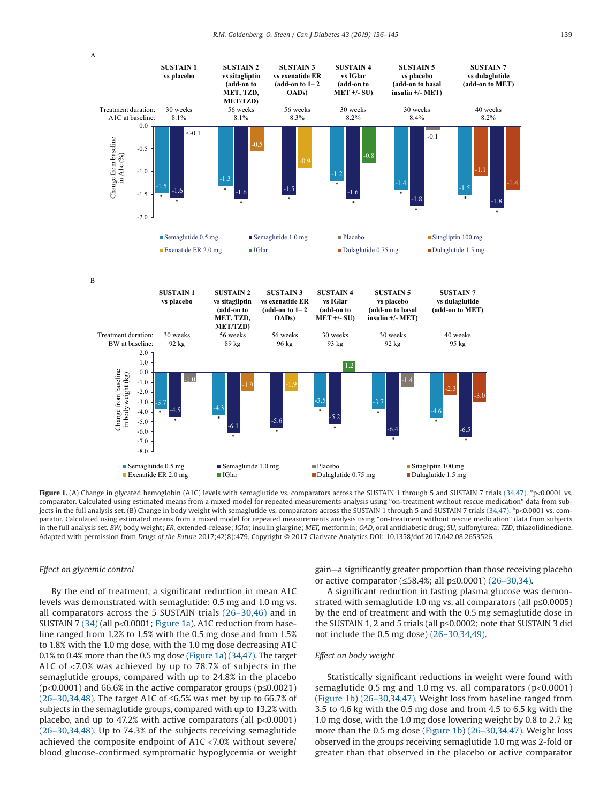<span id="page-3-0"></span>

Figure 1. (A) Change in glycated hemoglobin (A1C) levels with semaglutide vs. comparators across the SUSTAIN 1 through 5 and SUSTAIN 7 trials [\(34,47\).](#page-9-2) \*p<0.0001 vs. comparator. Calculated using estimated means from a mixed model for repeated measurements analysis using "on-treatment without rescue medication" data from sub-jects in the full analysis set. (B) Change in body weight with semaglutide vs. comparators across the SUSTAIN 1 through 5 and SUSTAIN 7 trials [\(34,47\).](#page-9-2) \*p<0.0001 vs. comparator. Calculated using estimated means from a mixed model for repeated measurements analysis using "on-treatment without rescue medication" data from subjects in the full analysis set. BW, body weight; ER, extended-release; IGlar, insulin glargine; MET, metformin; OAD, oral antidiabetic drug; SU, sulfonylurea; TZD, thiazolidinedione. Adapted with permission from *Drugs of the Future* 2017;42(8):479. Copyright © 2017 Clarivate Analytics DOI: 10.1358/dof.2017.042.08.2653526.

## *Effect on glycemic control*

By the end of treatment, a significant reduction in mean A1C levels was demonstrated with semaglutide: 0.5 mg and 1.0 mg vs. all comparators across the 5 SUSTAIN trials [\(26–30,46\)](#page-8-20) and in SUSTAIN 7 [\(34\)](#page-9-2) (all p<0.0001; Figure 1a). A1C reduction from baseline ranged from 1.2% to 1.5% with the 0.5 mg dose and from 1.5% to 1.8% with the 1.0 mg dose, with the 1.0 mg dose decreasing A1C 0.1% to 0.4% more than the 0.5 mg dose (Figure 1a) [\(34,47\).](#page-9-2) The target A1C of <7.0% was achieved by up to 78.7% of subjects in the semaglutide groups, compared with up to 24.8% in the placebo  $(p<0.0001)$  and 66.6% in the active comparator groups ( $p\leq 0.0021$ ) [\(26–30,34,48\).](#page-8-20) The target A1C of ≤6.5% was met by up to 66.7% of subjects in the semaglutide groups, compared with up to 13.2% with placebo, and up to  $47.2\%$  with active comparators (all  $p<0.0001$ ) [\(26–30,34,48\).](#page-8-20) Up to 74.3% of the subjects receiving semaglutide achieved the composite endpoint of A1C <7.0% without severe/ blood glucose-confirmed symptomatic hypoglycemia or weight gain—a significantly greater proportion than those receiving placebo or active comparator (≤58.4%; all p≤0.0001) [\(26–30,34\).](#page-8-20)

A significant reduction in fasting plasma glucose was demonstrated with semaglutide 1.0 mg vs. all comparators (all p≤0.0005) by the end of treatment and with the 0.5 mg semaglutide dose in the SUSTAIN 1, 2 and 5 trials (all p≤0.0002; note that SUSTAIN 3 did not include the 0.5 mg dose) [\(26–30,34,49\).](#page-8-20)

#### *Effect on body weight*

Statistically significant reductions in weight were found with semaglutide 0.5 mg and 1.0 mg vs. all comparators (p<0.0001) (Figure 1b) [\(26–30,34,47\).](#page-8-20) Weight loss from baseline ranged from 3.5 to 4.6 kg with the 0.5 mg dose and from 4.5 to 6.5 kg with the 1.0 mg dose, with the 1.0 mg dose lowering weight by 0.8 to 2.7 kg more than the 0.5 mg dose (Figure 1b) [\(26–30,34,47\).](#page-8-20) Weight loss observed in the groups receiving semaglutide 1.0 mg was 2-fold or greater than that observed in the placebo or active comparator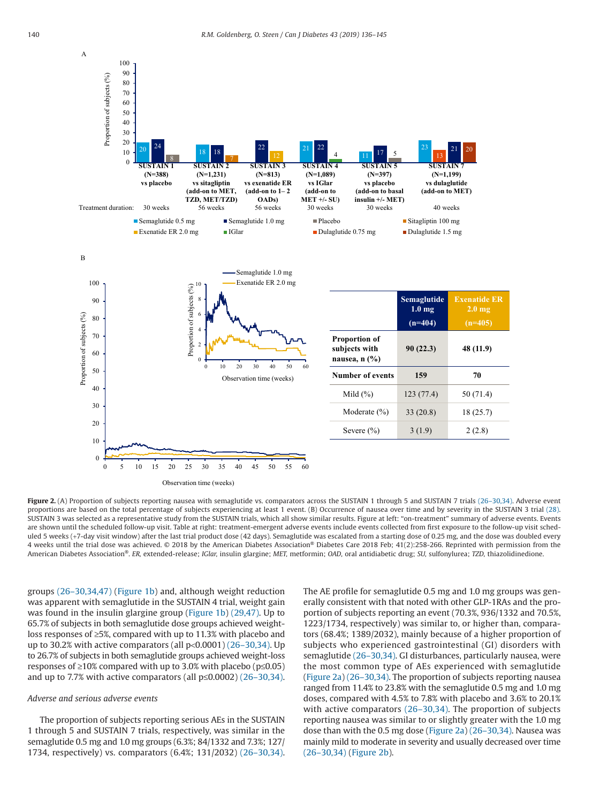

Figure 2. (A) Proportion of subjects reporting nausea with semaglutide vs. comparators across the SUSTAIN 1 through 5 and SUSTAIN 7 trials (26-30,34). Adverse event proportions are based on the total percentage of subjects experiencing at least 1 event. (B) Occurrence of nausea over time and by severity in the SUSTAIN 3 trial [\(28\).](#page-8-22) SUSTAIN 3 was selected as a representative study from the SUSTAIN trials, which all show similar results. Figure at left: "on-treatment" summary of adverse events. Events are shown until the scheduled follow-up visit. Table at right: treatment-emergent adverse events include events collected from first exposure to the follow-up visit scheduled 5 weeks (+7-day visit window) after the last trial product dose (42 days). Semaglutide was escalated from a starting dose of 0.25 mg, and the dose was doubled every 4 weeks until the trial dose was achieved. © 2018 by the American Diabetes Association® Diabetes Care 2018 Feb; 41(2):258-266. Reprinted with permission from the American Diabetes Association®. *ER,* extended-release; *IGlar,* insulin glargine; *MET,* metformin; *OAD,* oral antidiabetic drug; *SU,* sulfonylurea; *TZD,* thiazolidinedione.

groups [\(26–30,34,47\)](#page-8-20) [\(Figure 1b\)](#page-3-0) and, although weight reduction was apparent with semaglutide in the SUSTAIN 4 trial, weight gain was found in the insulin glargine group [\(Figure 1b\)](#page-3-0) [\(29,47\).](#page-8-21) Up to 65.7% of subjects in both semaglutide dose groups achieved weightloss responses of ≥5%, compared with up to 11.3% with placebo and up to 30.2% with active comparators (all  $p<0.0001$ ) [\(26–30,34\).](#page-8-20) Up to 26.7% of subjects in both semaglutide groups achieved weight-loss responses of  $\geq$ 10% compared with up to 3.0% with placebo ( $p \leq 0.05$ ) and up to 7.7% with active comparators (all p≤0.0002) [\(26–30,34\).](#page-8-20)

#### *Adverse and serious adverse events*

The proportion of subjects reporting serious AEs in the SUSTAIN 1 through 5 and SUSTAIN 7 trials, respectively, was similar in the semaglutide 0.5 mg and 1.0 mg groups (6.3%; 84/1332 and 7.3%; 127/ 1734, respectively) vs. comparators (6.4%; 131/2032) [\(26–30,34\).](#page-8-20) The AE profile for semaglutide 0.5 mg and 1.0 mg groups was generally consistent with that noted with other GLP-1RAs and the proportion of subjects reporting an event (70.3%, 936/1332 and 70.5%, 1223/1734, respectively) was similar to, or higher than, comparators (68.4%; 1389/2032), mainly because of a higher proportion of subjects who experienced gastrointestinal (GI) disorders with semaglutide [\(26–30,34\).](#page-8-20) GI disturbances, particularly nausea, were the most common type of AEs experienced with semaglutide (Figure 2a) [\(26–30,34\).](#page-8-20) The proportion of subjects reporting nausea ranged from 11.4% to 23.8% with the semaglutide 0.5 mg and 1.0 mg doses, compared with 4.5% to 7.8% with placebo and 3.6% to 20.1% with active comparators [\(26–30,34\).](#page-8-20) The proportion of subjects reporting nausea was similar to or slightly greater with the 1.0 mg dose than with the 0.5 mg dose (Figure 2a) [\(26–30,34\).](#page-8-20) Nausea was mainly mild to moderate in severity and usually decreased over time [\(26–30,34\)](#page-8-20) (Figure 2b).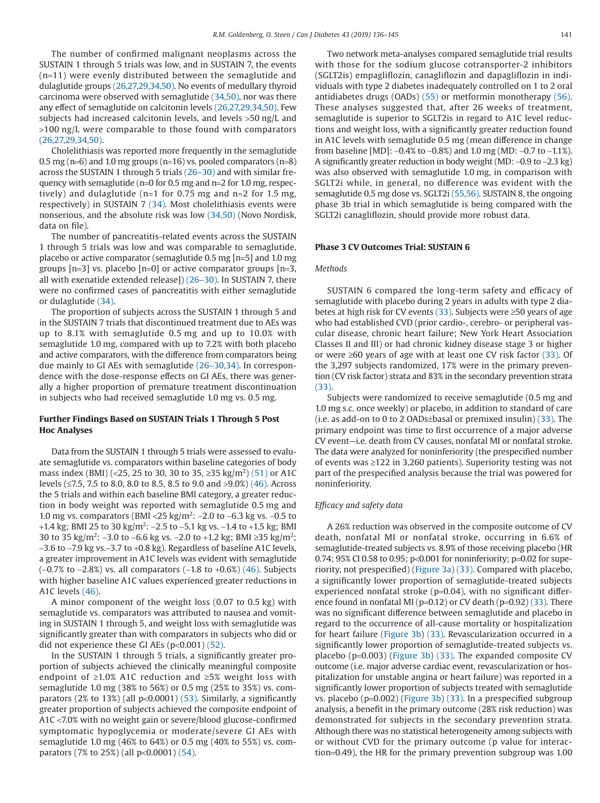The number of confirmed malignant neoplasms across the SUSTAIN 1 through 5 trials was low, and in SUSTAIN 7, the events (n=11) were evenly distributed between the semaglutide and dulaglutide groups [\(26,27,29,34,50\).](#page-8-20) No events of medullary thyroid carcinoma were observed with semaglutide [\(34,50\),](#page-9-2) nor was there any effect of semaglutide on calcitonin levels [\(26,27,29,34,50\).](#page-8-20) Few subjects had increased calcitonin levels, and levels >50 ng/L and >100 ng/L were comparable to those found with comparators [\(26,27,29,34,50\).](#page-8-20)

Cholelithiasis was reported more frequently in the semaglutide 0.5 mg (n=6) and 1.0 mg groups (n=16) vs. pooled comparators (n=8) across the SUSTAIN 1 through 5 trials [\(26–30\)](#page-8-20) and with similar frequency with semaglutide (n=0 for 0.5 mg and n=2 for 1.0 mg, respectively) and dulaglutide (n=1 for 0.75 mg and n=2 for 1.5 mg, respectively) in SUSTAIN 7 [\(34\).](#page-9-2) Most cholelithiasis events were nonserious, and the absolute risk was low [\(34,50\)](#page-9-2) (Novo Nordisk, data on file).

The number of pancreatitis-related events across the SUSTAIN 1 through 5 trials was low and was comparable to semaglutide, placebo or active comparator (semaglutide 0.5 mg [n=5] and 1.0 mg groups  $[n=3]$  vs. placebo  $[n=0]$  or active comparator groups  $[n=3]$ , all with exenatide extended release]) [\(26–30\).](#page-8-20) In SUSTAIN 7, there were no confirmed cases of pancreatitis with either semaglutide or dulaglutide [\(34\).](#page-9-2)

The proportion of subjects across the SUSTAIN 1 through 5 and in the SUSTAIN 7 trials that discontinued treatment due to AEs was up to 8.1% with semaglutide 0.5 mg and up to 10.0% with semaglutide 1.0 mg, compared with up to 7.2% with both placebo and active comparators, with the difference from comparators being due mainly to GI AEs with semaglutide [\(26–30,34\).](#page-8-20) In correspondence with the dose-response effects on GI AEs, there was generally a higher proportion of premature treatment discontinuation in subjects who had received semaglutide 1.0 mg vs. 0.5 mg.

## **Further Findings Based on SUSTAIN Trials 1 Through 5 Post Hoc Analyses**

Data from the SUSTAIN 1 through 5 trials were assessed to evaluate semaglutide vs. comparators within baseline categories of body mass index (BMI) (<25, 25 to 30, 30 to 35, ≥35 kg/m<sup>2</sup>) [\(51\)](#page-9-11) or A1C levels (≤7.5, 7.5 to 8.0, 8.0 to 8.5, 8.5 to 9.0 and >9.0%) [\(46\).](#page-9-12) Across the 5 trials and within each baseline BMI category, a greater reduction in body weight was reported with semaglutide 0.5 mg and 1.0 mg vs. comparators (BMI <25 kg/m<sup>2</sup>:  $-2.0$  to  $-6.3$  kg vs.  $-0.5$  to +1.4 kg; BMI 25 to 30 kg/m<sup>2</sup>:  $-2.5$  to  $-5.1$  kg vs.  $-1.4$  to  $+1.5$  kg; BMI 30 to 35 kg/m2: −3.0 to −6.6 kg vs. −2.0 to +1.2 kg; BMI ≥35 kg/m2; −3.6 to −7.9 kg vs.−3.7 to +0.8 kg). Regardless of baseline A1C levels, a greater improvement in A1C levels was evident with semaglutide (−0.7% to −2.8%) vs. all comparators (−1.8 to +0.6%) [\(46\).](#page-9-12) Subjects with higher baseline A1C values experienced greater reductions in A1C levels [\(46\).](#page-9-12)

A minor component of the weight loss (0.07 to 0.5 kg) with semaglutide vs. comparators was attributed to nausea and vomiting in SUSTAIN 1 through 5, and weight loss with semaglutide was significantly greater than with comparators in subjects who did or did not experience these GI AEs  $(p<0.001)$  [\(52\).](#page-9-13)

In the SUSTAIN 1 through 5 trials, a significantly greater proportion of subjects achieved the clinically meaningful composite endpoint of ≥1.0% A1C reduction and ≥5% weight loss with semaglutide 1.0 mg (38% to 56%) or 0.5 mg (25% to 35%) vs. comparators  $(2\%$  to  $13\%)$  (all  $p<0.0001$ ) [\(53\).](#page-9-14) Similarly, a significantly greater proportion of subjects achieved the composite endpoint of A1C <7.0% with no weight gain or severe/blood glucose-confirmed symptomatic hypoglycemia or moderate/severe GI AEs with semaglutide 1.0 mg (46% to 64%) or 0.5 mg (40% to 55%) vs. comparators (7% to 25%) (all p<0.0001) [\(54\).](#page-9-15)

Two network meta-analyses compared semaglutide trial results with those for the sodium glucose cotransporter-2 inhibitors (SGLT2is) empagliflozin, canagliflozin and dapagliflozin in individuals with type 2 diabetes inadequately controlled on 1 to 2 oral antidiabetes drugs (OADs) [\(55\)](#page-9-16) or metformin monotherapy [\(56\).](#page-9-17) These analyses suggested that, after 26 weeks of treatment, semaglutide is superior to SGLT2is in regard to A1C level reductions and weight loss, with a significantly greater reduction found in A1C levels with semaglutide 0.5 mg (mean difference in change from baseline [MD]: −0.4% to −0.8%) and 1.0 mg (MD: −0.7 to −1.1%). A significantly greater reduction in body weight (MD: −0.9 to −2.3 kg) was also observed with semaglutide 1.0 mg, in comparison with SGLT2i while, in general, no difference was evident with the semaglutide 0.5 mg dose vs. SGLT2i [\(55,56\).](#page-9-16) SUSTAIN 8, the ongoing phase 3b trial in which semaglutide is being compared with the SGLT2i canagliflozin, should provide more robust data.

## **Phase 3 CV Outcomes Trial: SUSTAIN 6**

# *Methods*

SUSTAIN 6 compared the long-term safety and efficacy of semaglutide with placebo during 2 years in adults with type 2 diabetes at high risk for CV events [\(33\).](#page-9-1) Subjects were ≥50 years of age who had established CVD (prior cardio-, cerebro- or peripheral vascular disease, chronic heart failure; New York Heart Association Classes II and III) or had chronic kidney disease stage 3 or higher or were ≥60 years of age with at least one CV risk factor [\(33\).](#page-9-1) Of the 3,297 subjects randomized, 17% were in the primary prevention (CV risk factor) strata and 83% in the secondary prevention strata [\(33\).](#page-9-1)

Subjects were randomized to receive semaglutide (0.5 mg and 1.0 mg s.c. once weekly) or placebo, in addition to standard of care (i.e. as add-on to 0 to 2 OADs±basal or premixed insulin) [\(33\).](#page-9-1) The primary endpoint was time to first occurrence of a major adverse CV event—i.e. death from CV causes, nonfatal MI or nonfatal stroke. The data were analyzed for noninferiority (the prespecified number of events was ≥122 in 3,260 patients). Superiority testing was not part of the prespecified analysis because the trial was powered for noninferiority.

## *Efficacy and safety data*

A 26% reduction was observed in the composite outcome of CV death, nonfatal MI or nonfatal stroke, occurring in 6.6% of semaglutide-treated subjects vs. 8.9% of those receiving placebo (HR 0.74; 95% CI 0.58 to 0.95; p<0.001 for noninferiority; p=0.02 for superiority, not prespecified) [\(Figure 3a\)](#page-6-0) [\(33\).](#page-9-1) Compared with placebo, a significantly lower proportion of semaglutide-treated subjects experienced nonfatal stroke (p=0.04), with no significant difference found in nonfatal MI ( $p=0.12$ ) or CV death ( $p=0.92$ ) [\(33\).](#page-9-1) There was no significant difference between semaglutide and placebo in regard to the occurrence of all-cause mortality or hospitalization for heart failure [\(Figure 3b\)](#page-6-0) [\(33\).](#page-9-1) Revascularization occurred in a significantly lower proportion of semaglutide-treated subjects vs. placebo (p=0.003) [\(Figure 3b\)](#page-6-0) [\(33\).](#page-9-1) The expanded composite CV outcome (i.e. major adverse cardiac event, revascularization or hospitalization for unstable angina or heart failure) was reported in a significantly lower proportion of subjects treated with semaglutide vs. placebo (p=0.002) [\(Figure 3b\)](#page-6-0) [\(33\).](#page-9-1) In a prespecified subgroup analysis, a benefit in the primary outcome (28% risk reduction) was demonstrated for subjects in the secondary prevention strata. Although there was no statistical heterogeneity among subjects with or without CVD for the primary outcome (p value for interaction=0.49), the HR for the primary prevention subgroup was 1.00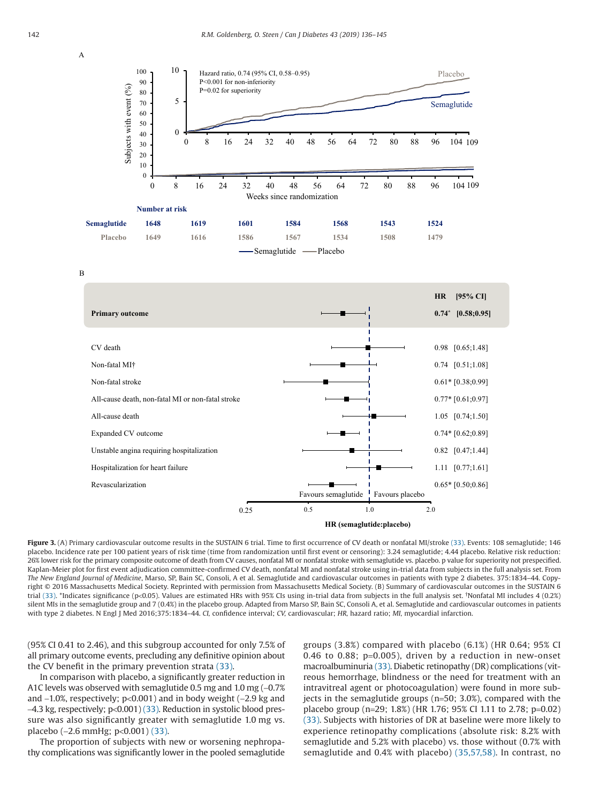<span id="page-6-0"></span>

B



Figure 3. (A) Primary cardiovascular outcome results in the SUSTAIN 6 trial. Time to first occurrence of CV death or nonfatal MI/stroke [\(33\).](#page-9-1) Events: 108 semaglutide; 146 placebo. Incidence rate per 100 patient years of risk time (time from randomization until first event or censoring): 3.24 semaglutide; 4.44 placebo. Relative risk reduction: 26% lower risk for the primary composite outcome of death from CV causes, nonfatal MI or nonfatal stroke with semaglutide vs. placebo. p value for superiority not prespecified. Kaplan-Meier plot for first event adjudication committee-confirmed CV death, nonfatal MI and nonfatal stroke using in-trial data from subjects in the full analysis set. From *The New England Journal of Medicine*, Marso, SP, Bain SC, Consoli, A et al. Semaglutide and cardiovascular outcomes in patients with type 2 diabetes. 375:1834–44. Copyright © 2016 Massachusetts Medical Society. Reprinted with permission from Massachusetts Medical Society. (B) Summary of cardiovascular outcomes in the SUSTAIN 6 trial [\(33\).](#page-9-1) \*Indicates significance (p<0.05). Values are estimated HRs with 95% CIs using in-trial data from subjects in the full analysis set. † Nonfatal MI includes 4 (0.2%) silent MIs in the semaglutide group and 7 (0.4%) in the placebo group. Adapted from Marso SP, Bain SC, Consoli A, et al. Semaglutide and cardiovascular outcomes in patients with type 2 diabetes. N Engl J Med 2016;375:1834–44. *CI,* confidence interval; *CV,* cardiovascular; *HR,* hazard ratio; *MI,* myocardial infarction.

(95% CI 0.41 to 2.46), and this subgroup accounted for only 7.5% of all primary outcome events, precluding any definitive opinion about the CV benefit in the primary prevention strata [\(33\).](#page-9-1)

In comparison with placebo, a significantly greater reduction in A1C levels was observed with semaglutide 0.5 mg and 1.0 mg (−0.7% and −1.0%, respectively; p<0.001) and in body weight (−2.9 kg and −4.3 kg, respectively; p<0.001) [\(33\).](#page-9-1) Reduction in systolic blood pressure was also significantly greater with semaglutide 1.0 mg vs. placebo (-2.6 mmHg; p<0.001) [\(33\).](#page-9-1)

The proportion of subjects with new or worsening nephropathy complications was significantly lower in the pooled semaglutide

groups (3.8%) compared with placebo (6.1%) (HR 0.64; 95% CI 0.46 to 0.88;  $p=0.005$ ), driven by a reduction in new-onset macroalbuminuria [\(33\).](#page-9-1) Diabetic retinopathy (DR) complications (vitreous hemorrhage, blindness or the need for treatment with an intravitreal agent or photocoagulation) were found in more subjects in the semaglutide groups (n=50; 3.0%), compared with the placebo group (n=29; 1.8%) (HR 1.76; 95% CI 1.11 to 2.78; p=0.02) [\(33\).](#page-9-1) Subjects with histories of DR at baseline were more likely to experience retinopathy complications (absolute risk: 8.2% with semaglutide and 5.2% with placebo) vs. those without (0.7% with semaglutide and 0.4% with placebo) [\(35,57,58\).](#page-9-3) In contrast, no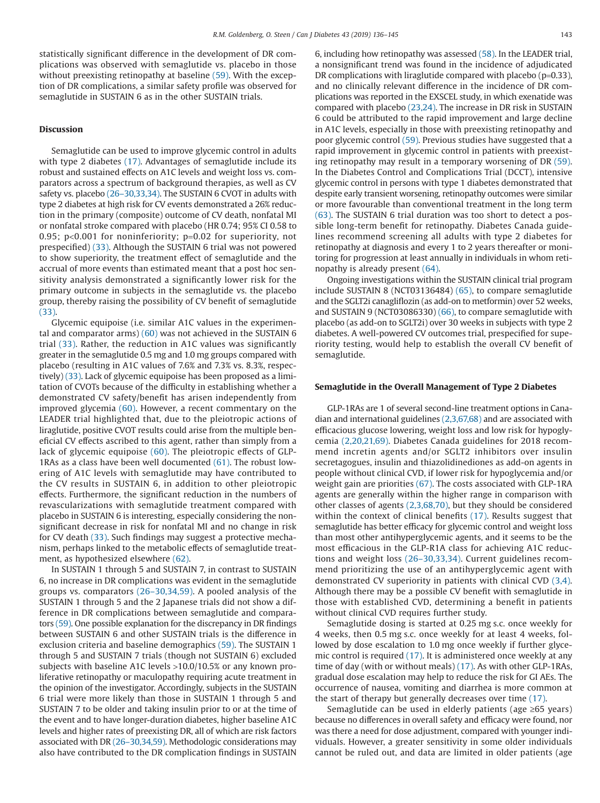statistically significant difference in the development of DR complications was observed with semaglutide vs. placebo in those without preexisting retinopathy at baseline [\(59\).](#page-9-18) With the exception of DR complications, a similar safety profile was observed for semaglutide in SUSTAIN 6 as in the other SUSTAIN trials.

#### **Discussion**

Semaglutide can be used to improve glycemic control in adults with type 2 diabetes [\(17\).](#page-8-13) Advantages of semaglutide include its robust and sustained effects on A1C levels and weight loss vs. comparators across a spectrum of background therapies, as well as CV safety vs. placebo [\(26–30,33,34\).](#page-8-20) The SUSTAIN 6 CVOT in adults with type 2 diabetes at high risk for CV events demonstrated a 26% reduction in the primary (composite) outcome of CV death, nonfatal MI or nonfatal stroke compared with placebo (HR 0.74; 95% CI 0.58 to 0.95; p<0.001 for noninferiority; p=0.02 for superiority, not prespecified) [\(33\).](#page-9-1) Although the SUSTAIN 6 trial was not powered to show superiority, the treatment effect of semaglutide and the accrual of more events than estimated meant that a post hoc sensitivity analysis demonstrated a significantly lower risk for the primary outcome in subjects in the semaglutide vs. the placebo group, thereby raising the possibility of CV benefit of semaglutide [\(33\).](#page-9-1)

Glycemic equipoise (i.e. similar A1C values in the experimental and comparator arms) [\(60\)](#page-9-19) was not achieved in the SUSTAIN 6 trial [\(33\).](#page-9-1) Rather, the reduction in A1C values was significantly greater in the semaglutide 0.5 mg and 1.0 mg groups compared with placebo (resulting in A1C values of 7.6% and 7.3% vs. 8.3%, respectively) [\(33\).](#page-9-1) Lack of glycemic equipoise has been proposed as a limitation of CVOTs because of the difficulty in establishing whether a demonstrated CV safety/benefit has arisen independently from improved glycemia [\(60\).](#page-9-19) However, a recent commentary on the LEADER trial highlighted that, due to the pleiotropic actions of liraglutide, positive CVOT results could arise from the multiple beneficial CV effects ascribed to this agent, rather than simply from a lack of glycemic equipoise [\(60\).](#page-9-19) The pleiotropic effects of GLP-1RAs as a class have been well documented [\(61\).](#page-9-20) The robust lowering of A1C levels with semaglutide may have contributed to the CV results in SUSTAIN 6, in addition to other pleiotropic effects. Furthermore, the significant reduction in the numbers of revascularizations with semaglutide treatment compared with placebo in SUSTAIN 6 is interesting, especially considering the nonsignificant decrease in risk for nonfatal MI and no change in risk for CV death [\(33\).](#page-9-1) Such findings may suggest a protective mechanism, perhaps linked to the metabolic effects of semaglutide treatment, as hypothesized elsewhere [\(62\).](#page-9-21)

In SUSTAIN 1 through 5 and SUSTAIN 7, in contrast to SUSTAIN 6, no increase in DR complications was evident in the semaglutide groups vs. comparators [\(26–30,34,59\).](#page-8-20) A pooled analysis of the SUSTAIN 1 through 5 and the 2 Japanese trials did not show a difference in DR complications between semaglutide and comparators [\(59\).](#page-9-18) One possible explanation for the discrepancy in DR findings between SUSTAIN 6 and other SUSTAIN trials is the difference in exclusion criteria and baseline demographics [\(59\).](#page-9-18) The SUSTAIN 1 through 5 and SUSTAIN 7 trials (though not SUSTAIN 6) excluded subjects with baseline A1C levels >10.0/10.5% or any known proliferative retinopathy or maculopathy requiring acute treatment in the opinion of the investigator. Accordingly, subjects in the SUSTAIN 6 trial were more likely than those in SUSTAIN 1 through 5 and SUSTAIN 7 to be older and taking insulin prior to or at the time of the event and to have longer-duration diabetes, higher baseline A1C levels and higher rates of preexisting DR, all of which are risk factors associated with DR [\(26–30,34,59\).](#page-8-20) Methodologic considerations may also have contributed to the DR complication findings in SUSTAIN 6, including how retinopathy was assessed [\(58\).](#page-9-22) In the LEADER trial, a nonsignificant trend was found in the incidence of adjudicated DR complications with liraglutide compared with placebo (p=0.33), and no clinically relevant difference in the incidence of DR complications was reported in the EXSCEL study, in which exenatide was compared with placebo [\(23,24\).](#page-8-23) The increase in DR risk in SUSTAIN 6 could be attributed to the rapid improvement and large decline in A1C levels, especially in those with preexisting retinopathy and poor glycemic control [\(59\).](#page-9-18) Previous studies have suggested that a rapid improvement in glycemic control in patients with preexisting retinopathy may result in a temporary worsening of DR [\(59\).](#page-9-18) In the Diabetes Control and Complications Trial (DCCT), intensive glycemic control in persons with type 1 diabetes demonstrated that despite early transient worsening, retinopathy outcomes were similar or more favourable than conventional treatment in the long term [\(63\).](#page-9-23) The SUSTAIN 6 trial duration was too short to detect a possible long-term benefit for retinopathy. Diabetes Canada guidelines recommend screening all adults with type 2 diabetes for retinopathy at diagnosis and every 1 to 2 years thereafter or monitoring for progression at least annually in individuals in whom retinopathy is already present [\(64\).](#page-9-24)

Ongoing investigations within the SUSTAIN clinical trial program include SUSTAIN 8 (NCT03136484) [\(65\),](#page-9-25) to compare semaglutide and the SGLT2i canagliflozin (as add-on to metformin) over 52 weeks, and SUSTAIN 9 (NCT03086330) [\(66\),](#page-9-26) to compare semaglutide with placebo (as add-on to SGLT2i) over 30 weeks in subjects with type 2 diabetes. A well-powered CV outcomes trial, prespecified for superiority testing, would help to establish the overall CV benefit of semaglutide.

#### **Semaglutide in the Overall Management of Type 2 Diabetes**

GLP-1RAs are 1 of several second-line treatment options in Canadian and international guidelines [\(2,3,67,68\)](#page-8-14) and are associated with efficacious glucose lowering, weight loss and low risk for hypoglycemia [\(2,20,21,69\).](#page-8-14) Diabetes Canada guidelines for 2018 recommend incretin agents and/or SGLT2 inhibitors over insulin secretagogues, insulin and thiazolidinediones as add-on agents in people without clinical CVD, if lower risk for hypoglycemia and/or weight gain are priorities [\(67\).](#page-9-27) The costs associated with GLP-1RA agents are generally within the higher range in comparison with other classes of agents [\(2,3,68,70\),](#page-8-14) but they should be considered within the context of clinical benefits [\(17\).](#page-8-13) Results suggest that semaglutide has better efficacy for glycemic control and weight loss than most other antihyperglycemic agents, and it seems to be the most efficacious in the GLP-R1A class for achieving A1C reductions and weight loss [\(26–30,33,34\).](#page-8-20) Current guidelines recommend prioritizing the use of an antihyperglycemic agent with demonstrated CV superiority in patients with clinical CVD [\(3,4\).](#page-8-1) Although there may be a possible CV benefit with semaglutide in those with established CVD, determining a benefit in patients without clinical CVD requires further study.

Semaglutide dosing is started at 0.25 mg s.c. once weekly for 4 weeks, then 0.5 mg s.c. once weekly for at least 4 weeks, followed by dose escalation to 1.0 mg once weekly if further glycemic control is required [\(17\).](#page-8-13) It is administered once weekly at any time of day (with or without meals) [\(17\).](#page-8-13) As with other GLP-1RAs, gradual dose escalation may help to reduce the risk for GI AEs. The occurrence of nausea, vomiting and diarrhea is more common at the start of therapy but generally decreases over time [\(17\).](#page-8-13)

Semaglutide can be used in elderly patients (age ≥65 years) because no differences in overall safety and efficacy were found, nor was there a need for dose adjustment, compared with younger individuals. However, a greater sensitivity in some older individuals cannot be ruled out, and data are limited in older patients (age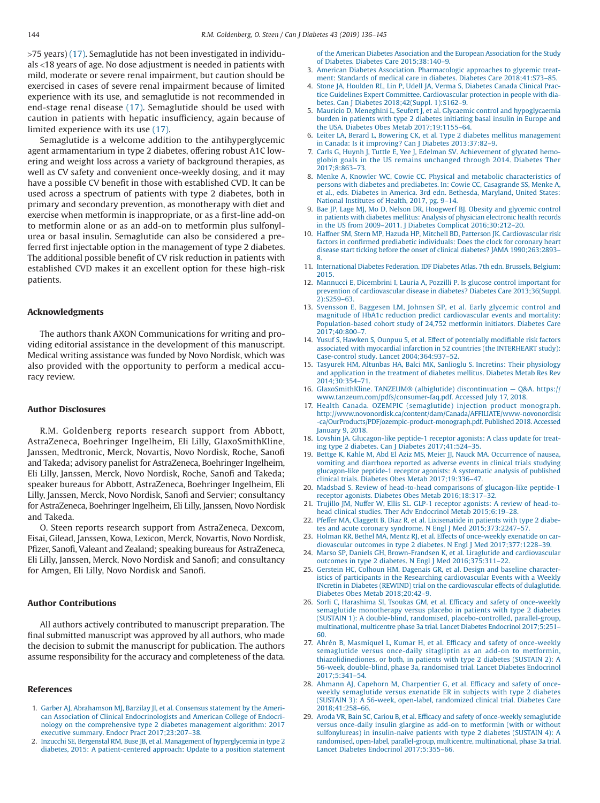>75 years) [\(17\).](#page-8-13) Semaglutide has not been investigated in individuals <18 years of age. No dose adjustment is needed in patients with mild, moderate or severe renal impairment, but caution should be exercised in cases of severe renal impairment because of limited experience with its use, and semaglutide is not recommended in end-stage renal disease [\(17\).](#page-8-13) Semaglutide should be used with caution in patients with hepatic insufficiency, again because of limited experience with its use [\(17\).](#page-8-13)

Semaglutide is a welcome addition to the antihyperglycemic agent armamentarium in type 2 diabetes, offering robust A1C lowering and weight loss across a variety of background therapies, as well as CV safety and convenient once-weekly dosing, and it may have a possible CV benefit in those with established CVD. It can be used across a spectrum of patients with type 2 diabetes, both in primary and secondary prevention, as monotherapy with diet and exercise when metformin is inappropriate, or as a first-line add-on to metformin alone or as an add-on to metformin plus sulfonylurea or basal insulin. Semaglutide can also be considered a preferred first injectable option in the management of type 2 diabetes. The additional possible benefit of CV risk reduction in patients with established CVD makes it an excellent option for these high-risk patients.

#### **Acknowledgments**

The authors thank AXON Communications for writing and providing editorial assistance in the development of this manuscript. Medical writing assistance was funded by Novo Nordisk, which was also provided with the opportunity to perform a medical accuracy review.

#### **Author Disclosures**

R.M. Goldenberg reports research support from Abbott, AstraZeneca, Boehringer Ingelheim, Eli Lilly, GlaxoSmithKline, Janssen, Medtronic, Merck, Novartis, Novo Nordisk, Roche, Sanofi and Takeda; advisory panelist for AstraZeneca, Boehringer Ingelheim, Eli Lilly, Janssen, Merck, Novo Nordisk, Roche, Sanofi and Takeda; speaker bureaus for Abbott, AstraZeneca, Boehringer Ingelheim, Eli Lilly, Janssen, Merck, Novo Nordisk, Sanofi and Servier; consultancy for AstraZeneca, Boehringer Ingelheim, Eli Lilly, Janssen, Novo Nordisk and Takeda.

O. Steen reports research support from AstraZeneca, Dexcom, Eisai, Gilead, Janssen, Kowa, Lexicon, Merck, Novartis, Novo Nordisk, Pfizer, Sanofi, Valeant and Zealand; speaking bureaus for AstraZeneca, Eli Lilly, Janssen, Merck, Novo Nordisk and Sanofi; and consultancy for Amgen, Eli Lilly, Novo Nordisk and Sanofi.

# **Author Contributions**

All authors actively contributed to manuscript preparation. The final submitted manuscript was approved by all authors, who made the decision to submit the manuscript for publication. The authors assume responsibility for the accuracy and completeness of the data.

#### **References**

- <span id="page-8-0"></span>1. [Garber AJ, Abrahamson MJ, Barzilay JI, et al. Consensus statement by the Ameri](http://refhub.elsevier.com/S1499-2671(18)30109-6/sr0010)[can Association of Clinical Endocrinologists and American College of Endocri](http://refhub.elsevier.com/S1499-2671(18)30109-6/sr0010)[nology on the comprehensive type 2 diabetes management algorithm: 2017](http://refhub.elsevier.com/S1499-2671(18)30109-6/sr0010) [executive summary. Endocr Pract 2017;23:207–38.](http://refhub.elsevier.com/S1499-2671(18)30109-6/sr0010)
- <span id="page-8-14"></span>2. [Inzucchi SE, Bergenstal RM, Buse JB, et al. Management of hyperglycemia in type 2](http://refhub.elsevier.com/S1499-2671(18)30109-6/sr0015) [diabetes, 2015: A patient-centered approach: Update to a position statement](http://refhub.elsevier.com/S1499-2671(18)30109-6/sr0015)

[of the American Diabetes Association and the European Association for the Study](http://refhub.elsevier.com/S1499-2671(18)30109-6/sr0015) [of Diabetes. Diabetes Care 2015;38:140–9.](http://refhub.elsevier.com/S1499-2671(18)30109-6/sr0015)

- <span id="page-8-1"></span>3. [American Diabetes Association. Pharmacologic approaches to glycemic treat](http://refhub.elsevier.com/S1499-2671(18)30109-6/sr0020)[ment: Standards of medical care in diabetes. Diabetes Care 2018;41:S73–85.](http://refhub.elsevier.com/S1499-2671(18)30109-6/sr0020)
- 4. [Stone JA, Houlden RL, Lin P, Udell JA, Verma S, Diabetes Canada Clinical Prac](http://refhub.elsevier.com/S1499-2671(18)30109-6/sr0025)[tice Guidelines Expert Committee. Cardiovascular protection in people with dia](http://refhub.elsevier.com/S1499-2671(18)30109-6/sr0025)[betes. Can J Diabetes 2018;42\(Suppl. 1\):S162–9.](http://refhub.elsevier.com/S1499-2671(18)30109-6/sr0025)
- <span id="page-8-2"></span>5. [Mauricio D, Meneghini L, Seufert J, et al. Glycaemic control and hypoglycaemia](http://refhub.elsevier.com/S1499-2671(18)30109-6/sr0030) [burden in patients with type 2 diabetes initiating basal insulin in Europe and](http://refhub.elsevier.com/S1499-2671(18)30109-6/sr0030) [the USA. Diabetes Obes Metab 2017;19:1155–64.](http://refhub.elsevier.com/S1499-2671(18)30109-6/sr0030)
- <span id="page-8-3"></span>6. [Leiter LA, Berard L, Bowering CK, et al. Type 2 diabetes mellitus management](http://refhub.elsevier.com/S1499-2671(18)30109-6/sr0035) [in Canada: Is it improving? Can J Diabetes 2013;37:82–9.](http://refhub.elsevier.com/S1499-2671(18)30109-6/sr0035)
- <span id="page-8-4"></span>7. [Carls G, Huynh J, Tuttle E, Yee J, Edelman SV. Achievement of glycated hemo](http://refhub.elsevier.com/S1499-2671(18)30109-6/sr0040)[globin goals in the US remains unchanged through 2014. Diabetes Ther](http://refhub.elsevier.com/S1499-2671(18)30109-6/sr0040) [2017;8:863–73.](http://refhub.elsevier.com/S1499-2671(18)30109-6/sr0040)
- <span id="page-8-5"></span>8. [Menke A, Knowler WC, Cowie CC. Physical and metabolic characteristics of](http://refhub.elsevier.com/S1499-2671(18)30109-6/sr0045) [persons with diabetes and prediabetes. In: Cowie CC, Casagrande SS, Menke A,](http://refhub.elsevier.com/S1499-2671(18)30109-6/sr0045) [et al., eds. Diabetes in America. 3rd edn. Bethesda, Maryland, United States:](http://refhub.elsevier.com/S1499-2671(18)30109-6/sr0045) [National Institutes of Health, 2017, pg. 9–14.](http://refhub.elsevier.com/S1499-2671(18)30109-6/sr0045)
- <span id="page-8-6"></span>9. [Bae JP, Lage MJ, Mo D, Nelson DR, Hoogwerf BJ. Obesity and glycemic control](http://refhub.elsevier.com/S1499-2671(18)30109-6/sr0050) [in patients with diabetes mellitus: Analysis of physician electronic health records](http://refhub.elsevier.com/S1499-2671(18)30109-6/sr0050) [in the US from 2009–2011. J Diabetes Complicat 2016;30:212–20.](http://refhub.elsevier.com/S1499-2671(18)30109-6/sr0050)
- <span id="page-8-7"></span>10. [Haffner SM, Stern MP, Hazuda HP, Mitchell BD, Patterson JK. Cardiovascular risk](http://refhub.elsevier.com/S1499-2671(18)30109-6/sr0055) [factors in confirmed prediabetic individuals: Does the clock for coronary heart](http://refhub.elsevier.com/S1499-2671(18)30109-6/sr0055) [disease start ticking before the onset of clinical diabetes? JAMA 1990;263:2893–](http://refhub.elsevier.com/S1499-2671(18)30109-6/sr0055) [8.](http://refhub.elsevier.com/S1499-2671(18)30109-6/sr0055)
- 11. [International Diabetes Federation. IDF Diabetes Atlas. 7th edn. Brussels, Belgium:](http://refhub.elsevier.com/S1499-2671(18)30109-6/sr0060) [2015.](http://refhub.elsevier.com/S1499-2671(18)30109-6/sr0060)
- <span id="page-8-8"></span>12. [Mannucci E, Dicembrini I, Lauria A, Pozzilli P. Is glucose control important for](http://refhub.elsevier.com/S1499-2671(18)30109-6/sr0065) [prevention of cardiovascular disease in diabetes? Diabetes Care 2013;36\(Suppl.](http://refhub.elsevier.com/S1499-2671(18)30109-6/sr0065) [2\):S259–63.](http://refhub.elsevier.com/S1499-2671(18)30109-6/sr0065)
- <span id="page-8-9"></span>13. [Svensson E, Baggesen LM, Johnsen SP, et al. Early glycemic control and](http://refhub.elsevier.com/S1499-2671(18)30109-6/sr0070) [magnitude of HbA1c reduction predict cardiovascular events and mortality:](http://refhub.elsevier.com/S1499-2671(18)30109-6/sr0070) [Population-based cohort study of 24,752 metformin initiators. Diabetes Care](http://refhub.elsevier.com/S1499-2671(18)30109-6/sr0070) [2017;40:800–7.](http://refhub.elsevier.com/S1499-2671(18)30109-6/sr0070)
- <span id="page-8-10"></span>14. [Yusuf S, Hawken S, Ounpuu S, et al. Effect of potentially modifiable risk factors](http://refhub.elsevier.com/S1499-2671(18)30109-6/sr0075) [associated with myocardial infarction in 52 countries \(the INTERHEART study\):](http://refhub.elsevier.com/S1499-2671(18)30109-6/sr0075) [Case-control study. Lancet 2004;364:937–52.](http://refhub.elsevier.com/S1499-2671(18)30109-6/sr0075)
- <span id="page-8-11"></span>15. [Tasyurek HM, Altunbas HA, Balci MK, Sanlioglu S. Incretins: Their physiology](http://refhub.elsevier.com/S1499-2671(18)30109-6/sr0080) [and application in the treatment of diabetes mellitus. Diabetes Metab Res Rev](http://refhub.elsevier.com/S1499-2671(18)30109-6/sr0080) [2014;30:354–71.](http://refhub.elsevier.com/S1499-2671(18)30109-6/sr0080)
- <span id="page-8-12"></span>16. GlaxoSmithKline. TANZEUM® (albiglutide) discontinuation — Q&A. [https://](https://www.tanzeum.com/pdfs/consumer-faq.pdf) [www.tanzeum.com/pdfs/consumer-faq.pdf.](https://www.tanzeum.com/pdfs/consumer-faq.pdf) Accessed July 17, 2018.
- <span id="page-8-13"></span>17. [Health Canada. OZEMPIC \(semaglutide\) injection product monograph.](http://refhub.elsevier.com/S1499-2671(18)30109-6/sr0090) [http://www.novonordisk.ca/content/dam/Canada/AFFILIATE/www-novonordisk](http://www.novonordisk.ca/content/dam/Canada/AFFILIATE/www-novonordisk-ca/OurProducts/PDF/ozempic-product-monograph.pdf) [-ca/OurProducts/PDF/ozempic-product-monograph.pdf.](http://www.novonordisk.ca/content/dam/Canada/AFFILIATE/www-novonordisk-ca/OurProducts/PDF/ozempic-product-monograph.pdf) Published 2018. Accessed January 9, 2018.
- 18. [Lovshin JA. Glucagon-like peptide-1 receptor agonists: A class update for treat](http://refhub.elsevier.com/S1499-2671(18)30109-6/sr0095)[ing type 2 diabetes. Can J Diabetes 2017;41:524–35.](http://refhub.elsevier.com/S1499-2671(18)30109-6/sr0095)
- <span id="page-8-15"></span>19. [Bettge K, Kahle M, Abd El Aziz MS, Meier JJ, Nauck MA. Occurrence of nausea,](http://refhub.elsevier.com/S1499-2671(18)30109-6/sr0100) [vomiting and diarrhoea reported as adverse events in clinical trials studying](http://refhub.elsevier.com/S1499-2671(18)30109-6/sr0100) [glucagon-like peptide-1 receptor agonists: A systematic analysis of published](http://refhub.elsevier.com/S1499-2671(18)30109-6/sr0100) [clinical trials. Diabetes Obes Metab 2017;19:336–47.](http://refhub.elsevier.com/S1499-2671(18)30109-6/sr0100)
- <span id="page-8-16"></span>20. [Madsbad S. Review of head-to-head comparisons of glucagon-like peptide-1](http://refhub.elsevier.com/S1499-2671(18)30109-6/sr0105) [receptor agonists. Diabetes Obes Metab 2016;18:317–32.](http://refhub.elsevier.com/S1499-2671(18)30109-6/sr0105)
- 21. [Trujillo JM, Nuffer W, Ellis SL. GLP-1 receptor agonists: A review of head-to](http://refhub.elsevier.com/S1499-2671(18)30109-6/sr0110)[head clinical studies. Ther Adv Endocrinol Metab 2015;6:19–28.](http://refhub.elsevier.com/S1499-2671(18)30109-6/sr0110)
- <span id="page-8-17"></span>22. [Pfeffer MA, Claggett B, Diaz R, et al. Lixisenatide in patients with type 2 diabe](http://refhub.elsevier.com/S1499-2671(18)30109-6/sr0115)[tes and acute coronary syndrome. N Engl J Med 2015;373:2247–57.](http://refhub.elsevier.com/S1499-2671(18)30109-6/sr0115)
- <span id="page-8-23"></span>23. [Holman RR, Bethel MA, Mentz RJ, et al. Effects of once-weekly exenatide on car](http://refhub.elsevier.com/S1499-2671(18)30109-6/sr0120)[diovascular outcomes in type 2 diabetes. N Engl J Med 2017;377:1228–39.](http://refhub.elsevier.com/S1499-2671(18)30109-6/sr0120)
- <span id="page-8-18"></span>24. [Marso SP, Daniels GH, Brown-Frandsen K, et al. Liraglutide and cardiovascular](http://refhub.elsevier.com/S1499-2671(18)30109-6/sr0125) [outcomes in type 2 diabetes. N Engl J Med 2016;375:311–22.](http://refhub.elsevier.com/S1499-2671(18)30109-6/sr0125)
- <span id="page-8-19"></span>25. [Gerstein HC, Colhoun HM, Dagenais GR, et al. Design and baseline character](http://refhub.elsevier.com/S1499-2671(18)30109-6/sr0130)[istics of participants in the Researching cardiovascular Events with a Weekly](http://refhub.elsevier.com/S1499-2671(18)30109-6/sr0130) [INcretin in Diabetes \(REWIND\) trial on the cardiovascular effects of dulaglutide.](http://refhub.elsevier.com/S1499-2671(18)30109-6/sr0130) [Diabetes Obes Metab 2018;20:42–9.](http://refhub.elsevier.com/S1499-2671(18)30109-6/sr0130)
- <span id="page-8-20"></span>26. [Sorli C, Harashima SI, Tsoukas GM, et al. Efficacy and safety of once-weekly](http://refhub.elsevier.com/S1499-2671(18)30109-6/sr0135) [semaglutide monotherapy versus placebo in patients with type 2 diabetes](http://refhub.elsevier.com/S1499-2671(18)30109-6/sr0135) [\(SUSTAIN 1\): A double-blind, randomised, placebo-controlled, parallel-group,](http://refhub.elsevier.com/S1499-2671(18)30109-6/sr0135) [multinational, multicentre phase 3a trial. Lancet Diabetes Endocrinol 2017;5:251–](http://refhub.elsevier.com/S1499-2671(18)30109-6/sr0135)
- [60.](http://refhub.elsevier.com/S1499-2671(18)30109-6/sr0135) 27. [Ahrén B, Masmiquel L, Kumar H, et al. Efficacy and safety of once-weekly](http://refhub.elsevier.com/S1499-2671(18)30109-6/sr0140) [semaglutide versus once-daily sitagliptin as an add-on to metformin,](http://refhub.elsevier.com/S1499-2671(18)30109-6/sr0140) [thiazolidinediones, or both, in patients with type 2 diabetes \(SUSTAIN 2\): A](http://refhub.elsevier.com/S1499-2671(18)30109-6/sr0140) [56-week, double-blind, phase 3a, randomised trial. Lancet Diabetes Endocrinol](http://refhub.elsevier.com/S1499-2671(18)30109-6/sr0140) [2017;5:341–54.](http://refhub.elsevier.com/S1499-2671(18)30109-6/sr0140)
- <span id="page-8-22"></span>28. [Ahmann AJ, Capehorn M, Charpentier G, et al. Efficacy and safety of once](http://refhub.elsevier.com/S1499-2671(18)30109-6/sr0145)[weekly semaglutide versus exenatide ER in subjects with type 2 diabetes](http://refhub.elsevier.com/S1499-2671(18)30109-6/sr0145) [\(SUSTAIN 3\): A 56-week, open-label, randomized clinical trial. Diabetes Care](http://refhub.elsevier.com/S1499-2671(18)30109-6/sr0145) [2018;41:258–66.](http://refhub.elsevier.com/S1499-2671(18)30109-6/sr0145)
- <span id="page-8-21"></span>29. [Aroda VR, Bain SC, Cariou B, et al. Efficacy and safety of once-weekly semaglutide](http://refhub.elsevier.com/S1499-2671(18)30109-6/sr0150) [versus once-daily insulin glargine as add-on to metformin \(with or without](http://refhub.elsevier.com/S1499-2671(18)30109-6/sr0150) [sulfonylureas\) in insulin-naive patients with type 2 diabetes \(SUSTAIN 4\): A](http://refhub.elsevier.com/S1499-2671(18)30109-6/sr0150) [randomised, open-label, parallel-group, multicentre, multinational, phase 3a trial.](http://refhub.elsevier.com/S1499-2671(18)30109-6/sr0150) [Lancet Diabetes Endocrinol 2017;5:355–66.](http://refhub.elsevier.com/S1499-2671(18)30109-6/sr0150)